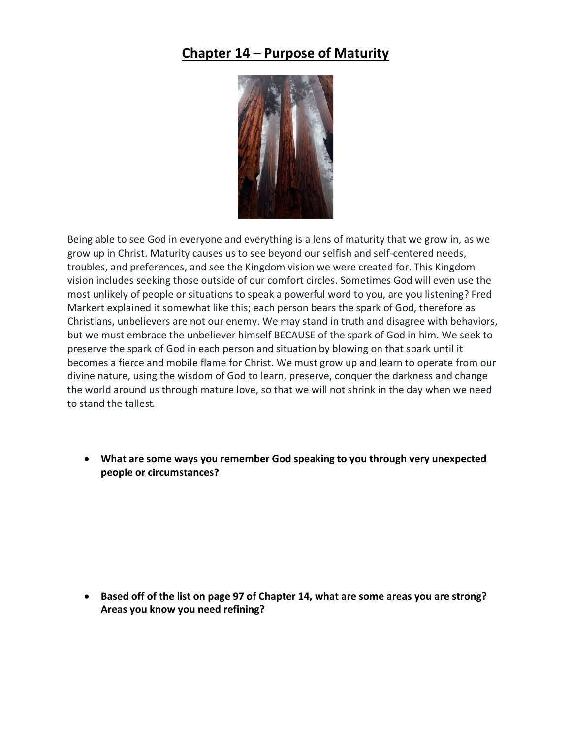## **Chapter 14 – Purpose of Maturity**



Being able to see God in everyone and everything is a lens of maturity that we grow in, as we grow up in Christ. Maturity causes us to see beyond our selfish and self-centered needs, troubles, and preferences, and see the Kingdom vision we were created for. This Kingdom vision includes seeking those outside of our comfort circles. Sometimes God will even use the most unlikely of people or situations to speak a powerful word to you, are you listening? Fred Markert explained it somewhat like this; each person bears the spark of God, therefore as Christians, unbelievers are not our enemy. We may stand in truth and disagree with behaviors, but we must embrace the unbeliever himself BECAUSE of the spark of God in him. We seek to preserve the spark of God in each person and situation by blowing on that spark until it becomes a fierce and mobile flame for Christ. We must grow up and learn to operate from our divine nature, using the wisdom of God to learn, preserve, conquer the darkness and change the world around us through mature love, so that we will not shrink in the day when we need to stand the tallest. 

• **What are some ways you remember God speaking to you through very unexpected people or circumstances?**

• **Based off of the list on page 97 of Chapter 14, what are some areas you are strong? Areas you know you need refining?**